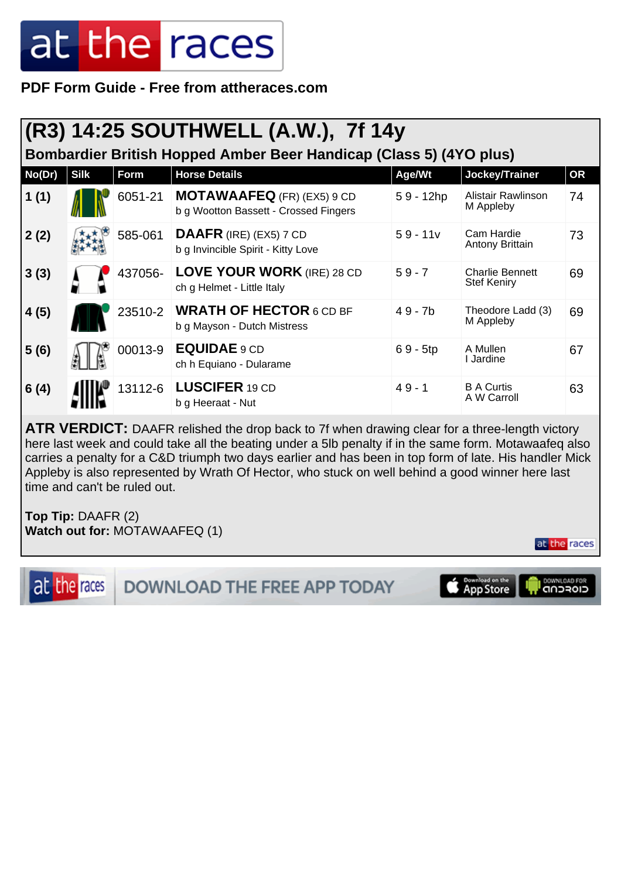**PDF Form Guide - Free from attheraces.com**

#### **(R3) 14:25 SOUTHWELL (A.W.), 7f 14y**

**Bombardier British Hopped Amber Beer Handicap (Class 5) (4YO plus)**

| No(Dr) | <b>Silk</b> | Form    | <b>Horse Details</b>                                                       | Age/Wt      | Jockey/Trainer                               | <b>OR</b> |
|--------|-------------|---------|----------------------------------------------------------------------------|-------------|----------------------------------------------|-----------|
| 1(1)   |             | 6051-21 | <b>MOTAWAAFEQ</b> (FR) (EX5) 9 CD<br>b g Wootton Bassett - Crossed Fingers | $59 - 12hp$ | Alistair Rawlinson<br>M Appleby              | 74        |
| 2(2)   |             | 585-061 | DAAFR (IRE) (EX5) 7 CD<br>b g Invincible Spirit - Kitty Love               | $59 - 11v$  | Cam Hardie<br>Antony Brittain                | 73        |
| 3(3)   |             | 437056- | <b>LOVE YOUR WORK (IRE) 28 CD</b><br>ch g Helmet - Little Italy            | $59 - 7$    | <b>Charlie Bennett</b><br><b>Stef Keniry</b> | 69        |
| 4(5)   |             | 23510-2 | <b>WRATH OF HECTOR 6 CD BF</b><br>b g Mayson - Dutch Mistress              | $49 - 7b$   | Theodore Ladd (3)<br>M Appleby               | 69        |
| 5(6)   |             | 00013-9 | EQUIDAE 9 CD<br>ch h Equiano - Dularame                                    | $69 - 5tp$  | A Mullen<br>l Jardine                        | 67        |
| 6(4)   |             |         | 13112-6   LUSCIFER 19 CD<br>b g Heeraat - Nut                              | $49 - 1$    | <b>B A Curtis</b><br>A W Carroll             | 63        |

**ATR VERDICT:** DAAFR relished the drop back to 7f when drawing clear for a three-length victory here last week and could take all the beating under a 5lb penalty if in the same form. Motawaafeq also carries a penalty for a C&D triumph two days earlier and has been in top form of late. His handler Mick Appleby is also represented by Wrath Of Hector, who stuck on well behind a good winner here last time and can't be ruled out.

**Top Tip:** DAAFR (2) **Watch out for:** MOTAWAAFEQ (1)

at the races

**DOWNLOAD THE FREE APP TODAY** 

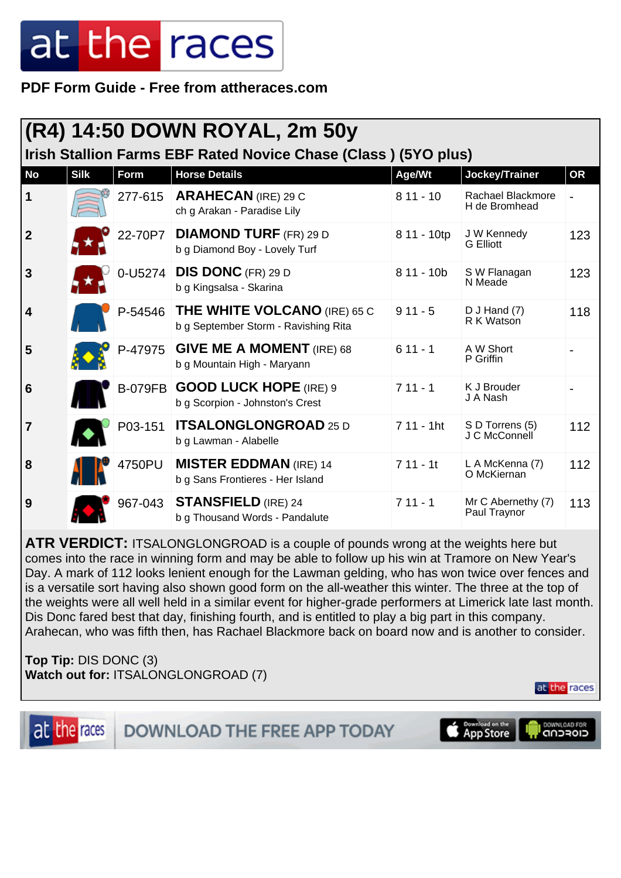**PDF Form Guide - Free from attheraces.com**

|                                                                |             |         | (R4) 14:50 DOWN ROYAL, 2m 50y                                               |              |                                    |           |  |  |
|----------------------------------------------------------------|-------------|---------|-----------------------------------------------------------------------------|--------------|------------------------------------|-----------|--|--|
| Irish Stallion Farms EBF Rated Novice Chase (Class) (5YO plus) |             |         |                                                                             |              |                                    |           |  |  |
| <b>No</b>                                                      | <b>Silk</b> | Form    | <b>Horse Details</b>                                                        | Age/Wt       | Jockey/Trainer                     | <b>OR</b> |  |  |
| 1                                                              |             | 277-615 | <b>ARAHECAN</b> (IRE) 29 C<br>ch g Arakan - Paradise Lily                   | $811 - 10$   | Rachael Blackmore<br>H de Bromhead |           |  |  |
| $\mathbf{2}$                                                   |             | 22-70P7 | <b>DIAMOND TURF (FR) 29 D</b><br>b g Diamond Boy - Lovely Turf              | 8 11 - 10tp  | J W Kennedy<br><b>G</b> Elliott    | 123       |  |  |
| 3                                                              |             | 0-U5274 | <b>DIS DONC</b> (FR) 29 D<br>b g Kingsalsa - Skarina                        | $811 - 10b$  | S W Flanagan<br>N Meade            | 123       |  |  |
| 4                                                              |             | P-54546 | <b>THE WHITE VOLCANO (IRE) 65 C</b><br>b g September Storm - Ravishing Rita | $911 - 5$    | $D$ J Hand $(7)$<br>R K Watson     | 118       |  |  |
| 5                                                              |             | P-47975 | <b>GIVE ME A MOMENT</b> (IRE) 68<br>b g Mountain High - Maryann             | $611 - 1$    | A W Short<br>P Griffin             |           |  |  |
| 6                                                              |             |         | B-079FB GOOD LUCK HOPE (IRE) 9<br>b g Scorpion - Johnston's Crest           | $711 - 1$    | K J Brouder<br>J A Nash            |           |  |  |
| 7                                                              |             | P03-151 | <b>ITSALONGLONGROAD 25 D</b><br>b g Lawman - Alabelle                       | $711 - 1$ ht | S D Torrens (5)<br>J C McConnell   | 112       |  |  |
| 8                                                              |             | 4750PU  | <b>MISTER EDDMAN</b> (IRE) 14<br>b g Sans Frontieres - Her Island           | $711 - 11$   | L A McKenna (7)<br>O McKiernan     | 112       |  |  |
| 9                                                              |             | 967-043 | <b>STANSFIELD</b> (IRE) 24<br>b g Thousand Words - Pandalute                | $711 - 1$    | Mr C Abernethy (7)<br>Paul Traynor | 113       |  |  |

**ATR VERDICT:** ITSALONGLONGROAD is a couple of pounds wrong at the weights here but comes into the race in winning form and may be able to follow up his win at Tramore on New Year's Day. A mark of 112 looks lenient enough for the Lawman gelding, who has won twice over fences and is a versatile sort having also shown good form on the all-weather this winter. The three at the top of the weights were all well held in a similar event for higher-grade performers at Limerick late last month. Dis Donc fared best that day, finishing fourth, and is entitled to play a big part in this company. Arahecan, who was fifth then, has Rachael Blackmore back on board now and is another to consider.

**Top Tip:** DIS DONC (3) **Watch out for:** ITSALONGLONGROAD (7)

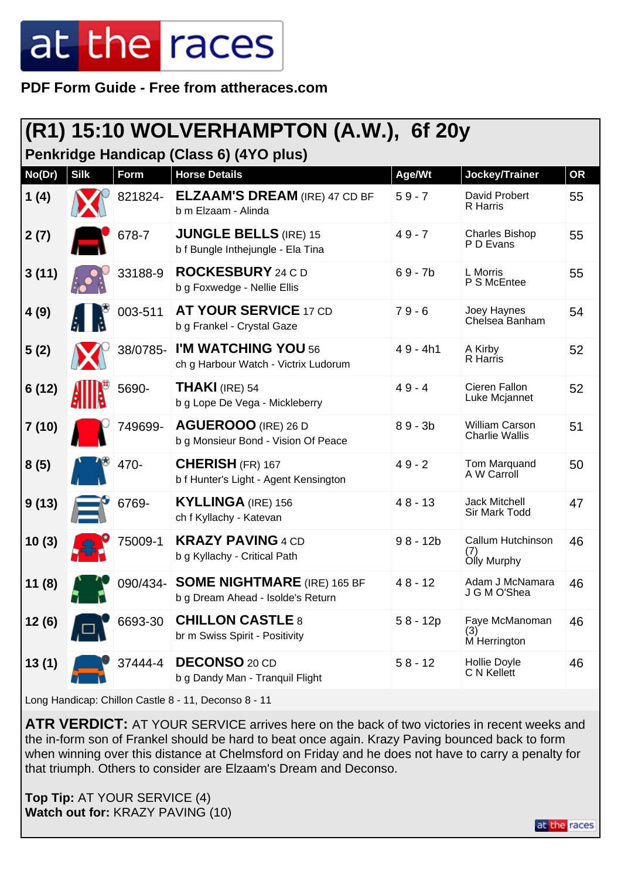**PDF Form Guide - Free from attheraces.com**

### **(R1) 15:10 WOLVERHAMPTON (A.W.), 6f 20y**

**Penkridge Handicap (Class 6) (4YO plus)**

| No(Dr) | <b>Silk</b> | <b>Form</b> | <b>Horse Details</b>                                                    | Age/Wt     | Jockey/Trainer                          | <b>OR</b> |
|--------|-------------|-------------|-------------------------------------------------------------------------|------------|-----------------------------------------|-----------|
| 1(4)   |             | 821824-     | <b>ELZAAM'S DREAM (IRE) 47 CD BF</b><br>b m Elzaam - Alinda             | $59 - 7$   | David Probert<br>R Harris               | 55        |
| 2(7)   |             | 678-7       | <b>JUNGLE BELLS (IRE) 15</b><br>b f Bungle Inthejungle - Ela Tina       | $49 - 7$   | <b>Charles Bishop</b><br>P D Evans      | 55        |
| 3(11)  |             | 33188-9     | <b>ROCKESBURY</b> 24 C D<br>b g Foxwedge - Nellie Ellis                 | $69 - 7b$  | L Morris<br>P S McEntee                 | 55        |
| 4(9)   |             | 003-511     | <b>AT YOUR SERVICE 17 CD</b><br>b g Frankel - Crystal Gaze              | $79 - 6$   | Joey Haynes<br>Chelsea Banham           | 54        |
| 5(2)   |             | 38/0785-    | I'M WATCHING YOU 56<br>ch g Harbour Watch - Victrix Ludorum             | $49 - 4h1$ | A Kirby<br>R Harris                     | 52        |
| 6(12)  |             | 5690-       | <b>THAKI</b> (IRE) 54<br>b g Lope De Vega - Mickleberry                 | $49 - 4$   | Cieren Fallon<br>Luke Mcjannet          | 52        |
| 7(10)  |             | 749699-     | AGUEROOO (IRE) 26 D<br>b g Monsieur Bond - Vision Of Peace              | $89 - 3b$  | William Carson<br><b>Charlie Wallis</b> | 51        |
| 8(5)   |             | 470-        | <b>CHERISH (FR) 167</b><br>b f Hunter's Light - Agent Kensington        | $49 - 2$   | Tom Marquand<br>A W Carroll             | 50        |
| 9(13)  |             | 6769-       | <b>KYLLINGA (IRE) 156</b><br>ch f Kyllachy - Katevan                    | $48 - 13$  | <b>Jack Mitchell</b><br>Sir Mark Todd   | 47        |
| 10(3)  |             | 75009-1     | <b>KRAZY PAVING 4 CD</b><br>b g Kyllachy - Critical Path                | $98 - 12b$ | Callum Hutchinson<br>(7)<br>Olly Murphy | 46        |
| 11(8)  |             | 090/434-    | <b>SOME NIGHTMARE</b> (IRE) 165 BF<br>b g Dream Ahead - Isolde's Return | $48 - 12$  | Adam J McNamara<br>J G M O'Shea         | 46        |
| 12(6)  |             | 6693-30     | <b>CHILLON CASTLE 8</b><br>br m Swiss Spirit - Positivity               | $58 - 12p$ | Faye McManoman<br>(3)<br>M Herrington   | 46        |
| 13(1)  |             | 37444-4     | <b>DECONSO 20 CD</b><br>b g Dandy Man - Tranquil Flight                 | $58 - 12$  | Hollie Doyle<br>C N Kellett             | 46        |

Long Handicap: Chillon Castle 8 - 11, Deconso 8 - 11

**ATR VERDICT:** AT YOUR SERVICE arrives here on the back of two victories in recent weeks and the in-form son of Frankel should be hard to beat once again. Krazy Paving bounced back to form when winning over this distance at Chelmsford on Friday and he does not have to carry a penalty for that triumph. Others to consider are Elzaam's Dream and Deconso.

**Top Tip:** AT YOUR SERVICE (4) **Watch out for:** KRAZY PAVING (10)

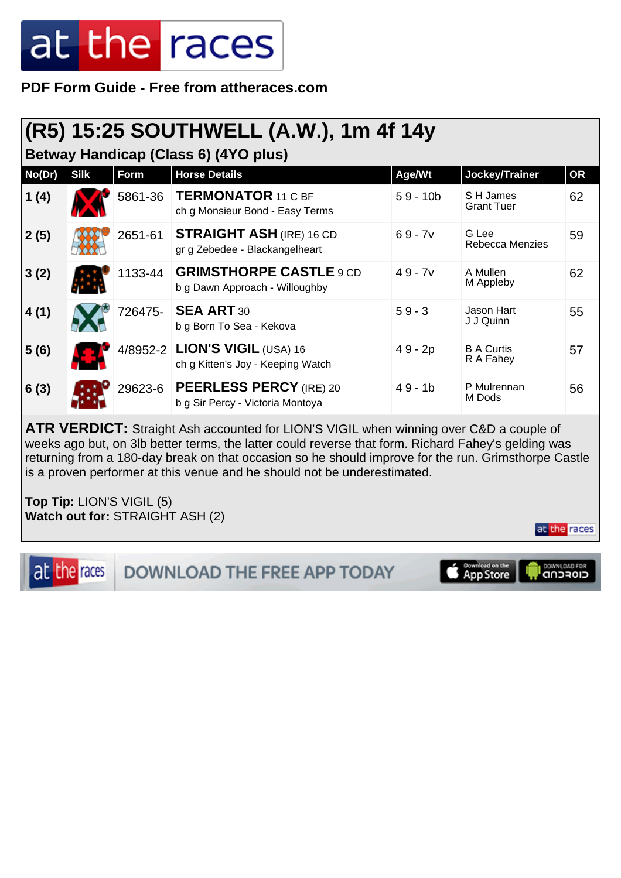**PDF Form Guide - Free from attheraces.com**

### **(R5) 15:25 SOUTHWELL (A.W.), 1m 4f 14y**

**Betway Handicap (Class 6) (4YO plus)**

| No(Dr) | <b>Silk</b> | Form    | <b>Horse Details</b>                                                | Age/Wt     | Jockey/Trainer                 | <b>OR</b> |
|--------|-------------|---------|---------------------------------------------------------------------|------------|--------------------------------|-----------|
| 1(4)   |             | 5861-36 | <b>TERMONATOR 11 C BF</b><br>ch g Monsieur Bond - Easy Terms        | $59 - 10b$ | S H James<br><b>Grant Tuer</b> | 62        |
| 2(5)   |             | 2651-61 | <b>STRAIGHT ASH (IRE) 16 CD</b><br>gr g Zebedee - Blackangelheart   | $69 - 7v$  | G Lee<br>Rebecca Menzies       | 59        |
| 3(2)   |             | 1133-44 | <b>GRIMSTHORPE CASTLE 9 CD</b><br>b g Dawn Approach - Willoughby    | $49 - 7v$  | A Mullen<br>M Appleby          | 62        |
| 4(1)   |             | 726475- | <b>SEA ART 30</b><br>b g Born To Sea - Kekova                       | $59 - 3$   | Jason Hart<br>J J Quinn        | 55        |
| 5(6)   |             |         | 4/8952-2 LION'S VIGIL (USA) 16<br>ch g Kitten's Joy - Keeping Watch | 49 - 2p    | <b>B A Curtis</b><br>R A Fahey | 57        |
| 6(3)   |             | 29623-6 | <b>PEERLESS PERCY (IRE) 20</b><br>b g Sir Percy - Victoria Montoya  | $49 - 1b$  | P Mulrennan<br>M Dods          | 56        |

**ATR VERDICT:** Straight Ash accounted for LION'S VIGIL when winning over C&D a couple of weeks ago but, on 3lb better terms, the latter could reverse that form. Richard Fahey's gelding was returning from a 180-day break on that occasion so he should improve for the run. Grimsthorpe Castle is a proven performer at this venue and he should not be underestimated.

**Top Tip:** LION'S VIGIL (5) **Watch out for:** STRAIGHT ASH (2)

at the races

**DOWNLOAD THE FREE APP TODAY** 

**App Store** 

CIOFCUD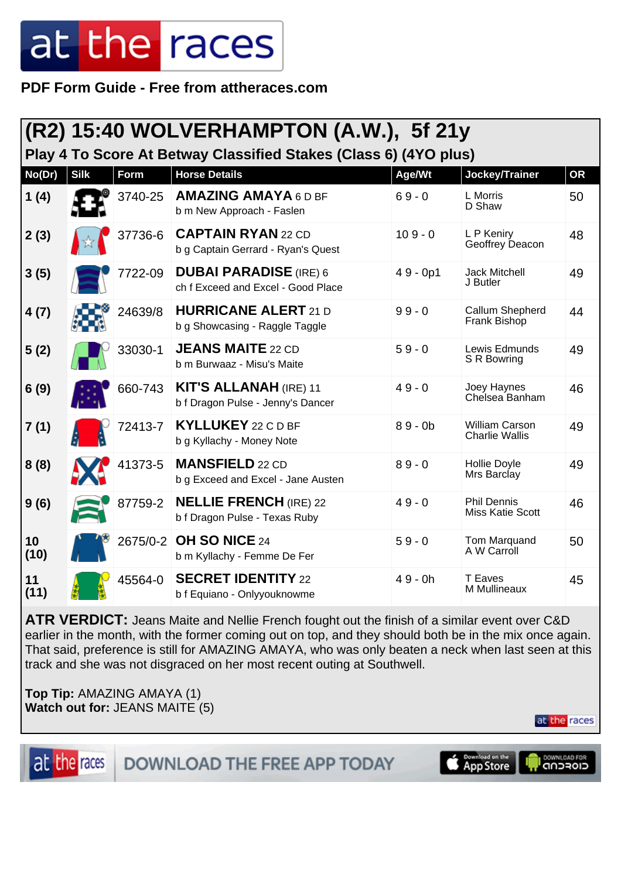**PDF Form Guide - Free from attheraces.com**

|            |             |             | (R2) 15:40 WOLVERHAMPTON (A.W.), 5f 21y                             |            |                                                |           |
|------------|-------------|-------------|---------------------------------------------------------------------|------------|------------------------------------------------|-----------|
|            |             |             | Play 4 To Score At Betway Classified Stakes (Class 6) (4YO plus)    |            |                                                |           |
| No(Dr)     | <b>Silk</b> | <b>Form</b> | <b>Horse Details</b>                                                | Age/Wt     | Jockey/Trainer                                 | <b>OR</b> |
| 1(4)       |             | 3740-25     | <b>AMAZING AMAYA 6 D BF</b><br>b m New Approach - Faslen            | $69 - 0$   | L Morris<br>D Shaw                             | 50        |
| 2(3)       |             | 37736-6     | <b>CAPTAIN RYAN 22 CD</b><br>b g Captain Gerrard - Ryan's Quest     | $109 - 0$  | L P Keniry<br>Geoffrey Deacon                  | 48        |
| 3(5)       |             | 7722-09     | <b>DUBAI PARADISE</b> (IRE) 6<br>ch f Exceed and Excel - Good Place | $49 - 0p1$ | <b>Jack Mitchell</b><br>J Butler               | 49        |
| 4(7)       |             | 24639/8     | <b>HURRICANE ALERT 21 D</b><br>b g Showcasing - Raggle Taggle       | $99 - 0$   | Callum Shepherd<br>Frank Bishop                | 44        |
| 5(2)       |             | 33030-1     | <b>JEANS MAITE 22 CD</b><br>b m Burwaaz - Misu's Maite              | $59 - 0$   | Lewis Edmunds<br>S R Bowring                   | 49        |
| 6(9)       |             | 660-743     | <b>KIT'S ALLANAH (IRE) 11</b><br>b f Dragon Pulse - Jenny's Dancer  | $49 - 0$   | Joey Haynes<br>Chelsea Banham                  | 46        |
| 7(1)       |             | 72413-7     | <b>KYLLUKEY</b> 22 C D BF<br>b g Kyllachy - Money Note              | $89 - 0b$  | <b>William Carson</b><br><b>Charlie Wallis</b> | 49        |
| 8(8)       |             | 41373-5     | <b>MANSFIELD 22 CD</b><br>b g Exceed and Excel - Jane Austen        | $89 - 0$   | Hollie Doyle<br>Mrs Barclay                    | 49        |
| 9(6)       |             | 87759-2     | <b>NELLIE FRENCH (IRE) 22</b><br>b f Dragon Pulse - Texas Ruby      | $49 - 0$   | <b>Phil Dennis</b><br><b>Miss Katie Scott</b>  | 46        |
| 10<br>(10) |             | 2675/0-2    | OH SO NICE 24<br>b m Kyllachy - Femme De Fer                        | $59 - 0$   | Tom Marquand<br>A W Carroll                    | 50        |
| 11<br>(11) |             | 45564-0     | <b>SECRET IDENTITY 22</b><br>b f Equiano - Onlyyouknowme            | $49 - 0h$  | <b>T</b> Eaves<br>M Mullineaux                 | 45        |

**ATR VERDICT:** Jeans Maite and Nellie French fought out the finish of a similar event over C&D earlier in the month, with the former coming out on top, and they should both be in the mix once again. That said, preference is still for AMAZING AMAYA, who was only beaten a neck when last seen at this track and she was not disgraced on her most recent outing at Southwell.

**Top Tip:** AMAZING AMAYA (1) **Watch out for:** JEANS MAITE (5)

at the races

at the races

DOWNLOAD THE FREE APP TODAY

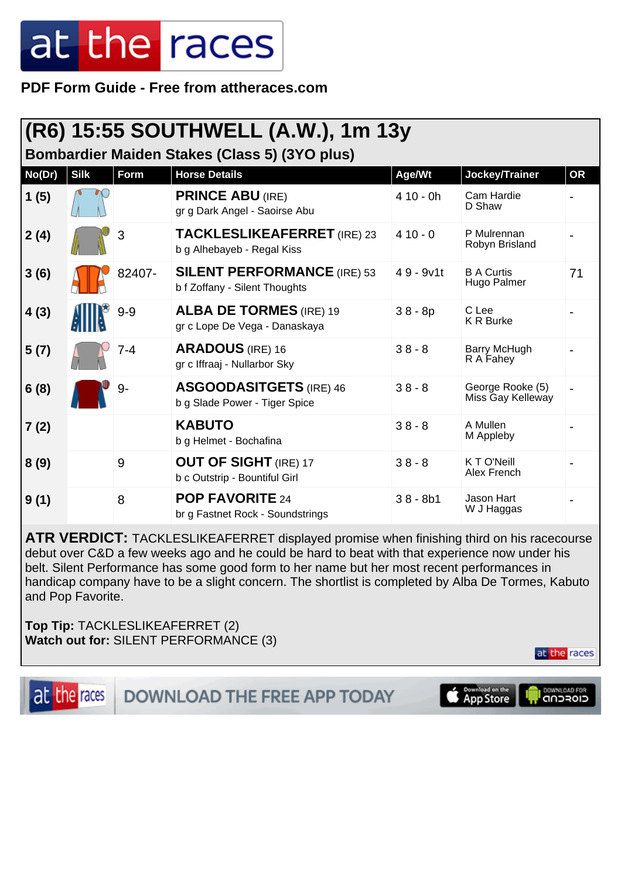**PDF Form Guide - Free from attheraces.com**

|                                                      | (R6) 15:55 SOUTHWELL (A.W.), 1m 13y |         |                                                                     |             |                                       |           |  |  |  |
|------------------------------------------------------|-------------------------------------|---------|---------------------------------------------------------------------|-------------|---------------------------------------|-----------|--|--|--|
| <b>Bombardier Maiden Stakes (Class 5) (3YO plus)</b> |                                     |         |                                                                     |             |                                       |           |  |  |  |
| No(Dr)                                               | <b>Silk</b>                         | Form    | <b>Horse Details</b>                                                | Age/Wt      | Jockey/Trainer                        | <b>OR</b> |  |  |  |
| 1(5)                                                 |                                     |         | <b>PRINCE ABU (IRE)</b><br>gr g Dark Angel - Saoirse Abu            | $410 - 0h$  | Cam Hardie<br>D Shaw                  |           |  |  |  |
| 2(4)                                                 |                                     | 3       | <b>TACKLESLIKEAFERRET</b> (IRE) 23<br>b g Alhebayeb - Regal Kiss    | $410 - 0$   | P Mulrennan<br>Robyn Brisland         |           |  |  |  |
| 3(6)                                                 |                                     | 82407-  | <b>SILENT PERFORMANCE (IRE) 53</b><br>b f Zoffany - Silent Thoughts | $49 - 9v1t$ | <b>B A Curtis</b><br>Hugo Palmer      | 71        |  |  |  |
| 4(3)                                                 |                                     | $9 - 9$ | <b>ALBA DE TORMES</b> (IRE) 19<br>gr c Lope De Vega - Danaskaya     | $38 - 8p$   | C Lee<br><b>K R Burke</b>             |           |  |  |  |
| 5(7)                                                 |                                     | $7 - 4$ | <b>ARADOUS</b> (IRE) 16<br>gr c Iffraaj - Nullarbor Sky             | $38 - 8$    | Barry McHugh<br>R A Fahey             |           |  |  |  |
| 6(8)                                                 |                                     | 9-      | <b>ASGOODASITGETS</b> (IRE) 46<br>b g Slade Power - Tiger Spice     | $38 - 8$    | George Rooke (5)<br>Miss Gay Kelleway |           |  |  |  |
| 7 (2)                                                |                                     |         | <b>KABUTO</b><br>b g Helmet - Bochafina                             | $38 - 8$    | A Mullen<br>M Appleby                 |           |  |  |  |
| 8(9)                                                 |                                     | 9       | <b>OUT OF SIGHT (IRE) 17</b><br>b c Outstrip - Bountiful Girl       | $38 - 8$    | K T O'Neill<br>Alex French            |           |  |  |  |
| 9(1)                                                 |                                     | 8       | <b>POP FAVORITE 24</b><br>br g Fastnet Rock - Soundstrings          | $38 - 8b1$  | Jason Hart<br>W J Haggas              |           |  |  |  |

**ATR VERDICT:** TACKLESLIKEAFERRET displayed promise when finishing third on his racecourse debut over C&D a few weeks ago and he could be hard to beat with that experience now under his belt. Silent Performance has some good form to her name but her most recent performances in handicap company have to be a slight concern. The shortlist is completed by Alba De Tormes, Kabuto and Pop Favorite.

**Top Tip:** TACKLESLIKEAFERRET (2) **Watch out for:** SILENT PERFORMANCE (3)

at the races

at the races

DOWNLOAD THE FREE APP TODAY

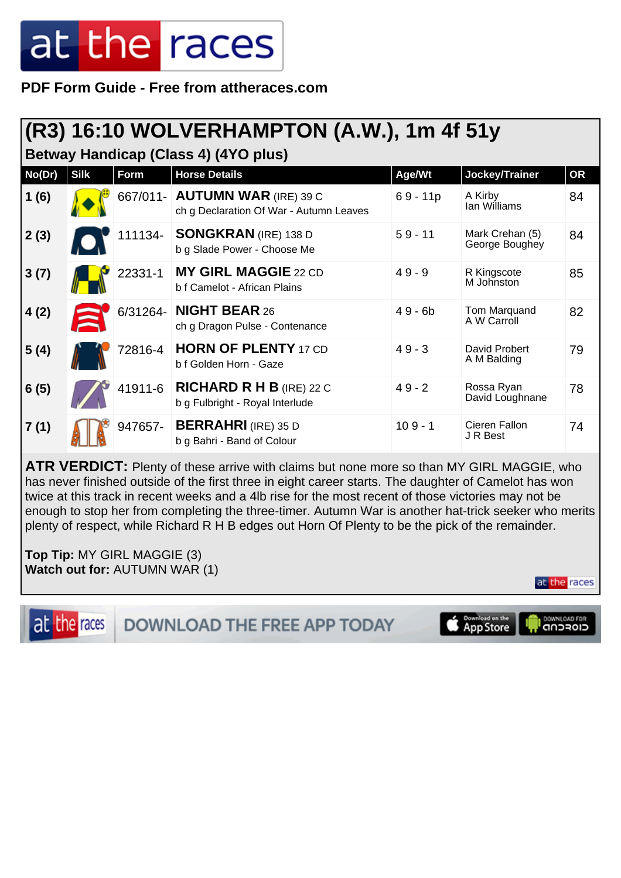**PDF Form Guide - Free from attheraces.com**

#### **(R3) 16:10 WOLVERHAMPTON (A.W.), 1m 4f 51y**

**Betway Handicap (Class 4) (4YO plus)**

| No(Dr) | <b>Silk</b> | Form     | <b>Horse Details</b>                                                      | Age/Wt     | Jockey/Trainer                    | <b>OR</b> |
|--------|-------------|----------|---------------------------------------------------------------------------|------------|-----------------------------------|-----------|
| 1(6)   |             |          | 667/011- AUTUMN WAR (IRE) 39 C<br>ch g Declaration Of War - Autumn Leaves | $69 - 11p$ | A Kirby<br>Ian Williams           | 84        |
| 2(3)   |             | 111134-  | <b>SONGKRAN</b> (IRE) 138 D<br>b g Slade Power - Choose Me                | $59 - 11$  | Mark Crehan (5)<br>George Boughey | 84        |
| 3(7)   |             | 22331-1  | <b>MY GIRL MAGGIE 22 CD</b><br>b f Camelot - African Plains               | $49 - 9$   | R Kingscote<br>M Johnston         | 85        |
| 4(2)   | $\Xi$       | 6/31264- | <b>NIGHT BEAR 26</b><br>ch g Dragon Pulse - Contenance                    | $49 - 6b$  | Tom Marquand<br>A W Carroll       | 82        |
| 5(4)   |             | 72816-4  | <b>HORN OF PLENTY 17 CD</b><br>b f Golden Horn - Gaze                     | $49 - 3$   | David Probert<br>A M Balding      | 79        |
| 6(5)   |             | 41911-6  | <b>RICHARD R H B</b> (IRE) 22 C<br>b g Fulbright - Royal Interlude        | $49 - 2$   | Rossa Ryan<br>David Loughnane     | 78        |
| 7(1)   |             | 947657-  | <b>BERRAHRI</b> (IRE) 35 D<br>b g Bahri - Band of Colour                  | $109 - 1$  | Cieren Fallon<br>J R Best         | 74        |

**ATR VERDICT:** Plenty of these arrive with claims but none more so than MY GIRL MAGGIE, who has never finished outside of the first three in eight career starts. The daughter of Camelot has won twice at this track in recent weeks and a 4lb rise for the most recent of those victories may not be enough to stop her from completing the three-timer. Autumn War is another hat-trick seeker who merits plenty of respect, while Richard R H B edges out Horn Of Plenty to be the pick of the remainder.

**Top Tip:** MY GIRL MAGGIE (3) **Watch out for:** AUTUMN WAR (1)

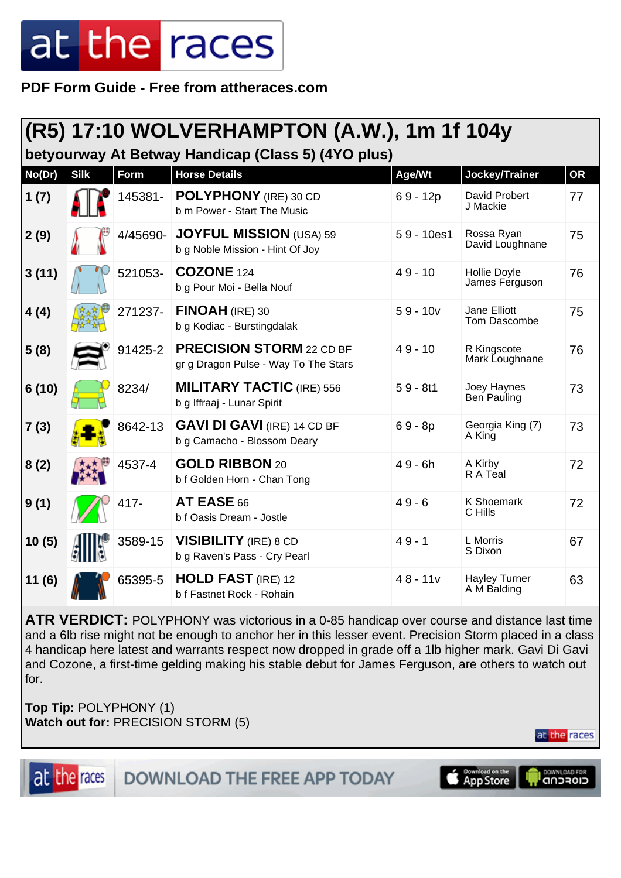**PDF Form Guide - Free from attheraces.com**

### **(R5) 17:10 WOLVERHAMPTON (A.W.), 1m 1f 104y**

**betyourway At Betway Handicap (Class 5) (4YO plus)**

| No(Dr) | <b>Silk</b> | <b>Form</b> | <b>Horse Details</b>                                                    | Age/Wt       | Jockey/Trainer                      | <b>OR</b> |
|--------|-------------|-------------|-------------------------------------------------------------------------|--------------|-------------------------------------|-----------|
| 1(7)   |             | 145381-     | POLYPHONY (IRE) 30 CD<br>b m Power - Start The Music                    | $69 - 12p$   | David Probert<br>J Mackie           | 77        |
| 2(9)   |             | 4/45690-    | <b>JOYFUL MISSION</b> (USA) 59<br>b g Noble Mission - Hint Of Joy       | $59 - 10es1$ | Rossa Ryan<br>David Loughnane       | 75        |
| 3(11)  |             | 521053-     | <b>COZONE</b> 124<br>b g Pour Moi - Bella Nouf                          | $49 - 10$    | Hollie Doyle<br>James Ferguson      | 76        |
| 4(4)   |             | 271237-     | $FINOAH$ (IRE) 30<br>b g Kodiac - Burstingdalak                         | $59 - 10v$   | Jane Elliott<br>Tom Dascombe        | 75        |
| 5(8)   |             | 91425-2     | <b>PRECISION STORM 22 CD BF</b><br>gr g Dragon Pulse - Way To The Stars | $49 - 10$    | R Kingscote<br>Mark Loughnane       | 76        |
| 6(10)  |             | 8234/       | <b>MILITARY TACTIC (IRE) 556</b><br>b g Iffraaj - Lunar Spirit          | $59 - 8t1$   | Joey Haynes<br>Ben Pauling          | 73        |
| 7(3)   |             | 8642-13     | <b>GAVI DI GAVI (IRE) 14 CD BF</b><br>b g Camacho - Blossom Deary       | $69 - 8p$    | Georgia King (7)<br>A King          | 73        |
| 8(2)   |             | 4537-4      | <b>GOLD RIBBON 20</b><br>b f Golden Horn - Chan Tong                    | $49 - 6h$    | A Kirby<br>R A Teal                 | 72        |
| 9(1)   |             | 417-        | AT EASE 66<br>b f Oasis Dream - Jostle                                  | $49 - 6$     | <b>K Shoemark</b><br>C Hills        | 72        |
| 10(5)  |             | 3589-15     | <b>VISIBILITY</b> (IRE) 8 CD<br>b g Raven's Pass - Cry Pearl            | $49 - 1$     | L Morris<br>S Dixon                 | 67        |
| 11(6)  |             | 65395-5     | <b>HOLD FAST</b> (IRE) 12<br>b f Fastnet Rock - Rohain                  | $48 - 11v$   | <b>Hayley Turner</b><br>A M Balding | 63        |

**ATR VERDICT:** POLYPHONY was victorious in a 0-85 handicap over course and distance last time and a 6lb rise might not be enough to anchor her in this lesser event. Precision Storm placed in a class 4 handicap here latest and warrants respect now dropped in grade off a 1lb higher mark. Gavi Di Gavi and Cozone, a first-time gelding making his stable debut for James Ferguson, are others to watch out for.

**Top Tip:** POLYPHONY (1) **Watch out for:** PRECISION STORM (5)

at the races

at the races

**DOWNLOAD THE FREE APP TODAY** 

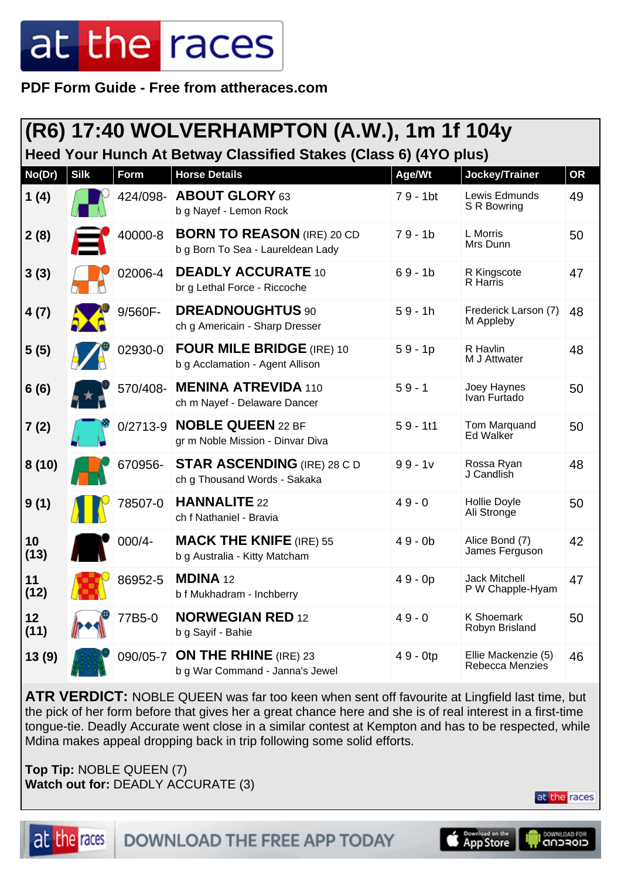**PDF Form Guide - Free from attheraces.com**

|            | (R6) 17:40 WOLVERHAMPTON (A.W.), 1m 1f 104y |              |                                                                        |            |                                        |    |  |  |
|------------|---------------------------------------------|--------------|------------------------------------------------------------------------|------------|----------------------------------------|----|--|--|
|            |                                             |              | Heed Your Hunch At Betway Classified Stakes (Class 6) (4YO plus)       |            |                                        |    |  |  |
| No(Dr)     | <b>Silk</b>                                 | Form         | <b>Horse Details</b>                                                   | Age/Wt     | Jockey/Trainer                         | OR |  |  |
| 1(4)       |                                             | 424/098-     | <b>ABOUT GLORY 63</b><br>b g Nayef - Lemon Rock                        | 79 - 1bt   | Lewis Edmunds<br>S R Bowring           | 49 |  |  |
| 2(8)       |                                             | 40000-8      | <b>BORN TO REASON (IRE) 20 CD</b><br>b g Born To Sea - Laureldean Lady | $79 - 1b$  | L Morris<br>Mrs Dunn                   | 50 |  |  |
| 3(3)       |                                             | 02006-4      | <b>DEADLY ACCURATE 10</b><br>br g Lethal Force - Riccoche              | $69 - 1b$  | R Kingscote<br>R Harris                | 47 |  |  |
| 4(7)       |                                             | 9/560F-      | <b>DREADNOUGHTUS 90</b><br>ch g Americain - Sharp Dresser              | $59 - 1h$  | Frederick Larson (7)<br>M Appleby      | 48 |  |  |
| 5(5)       |                                             | 02930-0      | <b>FOUR MILE BRIDGE (IRE) 10</b><br>b g Acclamation - Agent Allison    | $59 - 1p$  | R Havlin<br>M J Attwater               | 48 |  |  |
| 6(6)       |                                             | 570/408-     | <b>MENINA ATREVIDA 110</b><br>ch m Nayef - Delaware Dancer             | $59 - 1$   | Joey Haynes<br>Ivan Furtado            | 50 |  |  |
| 7(2)       |                                             | $0/2713 - 9$ | <b>NOBLE QUEEN 22 BF</b><br>gr m Noble Mission - Dinvar Diva           | $59 - 111$ | Tom Marquand<br>Ed Walker              | 50 |  |  |
| 8(10)      |                                             | 670956-      | <b>STAR ASCENDING (IRE) 28 C D</b><br>ch g Thousand Words - Sakaka     | $99 - 1v$  | Rossa Ryan<br>J Candlish               | 48 |  |  |
| 9(1)       |                                             | 78507-0      | <b>HANNALITE 22</b><br>ch f Nathaniel - Bravia                         | $49 - 0$   | <b>Hollie Doyle</b><br>Ali Stronge     | 50 |  |  |
| 10<br>(13) |                                             | 000/4-       | <b>MACK THE KNIFE (IRE) 55</b><br>b g Australia - Kitty Matcham        | $49 - 0b$  | Alice Bond (7)<br>James Ferguson       | 42 |  |  |
| 11<br>(12) |                                             | 86952-5      | <b>MDINA 12</b><br>b f Mukhadram - Inchberry                           | 49 - 0p    | Jack Mitchell<br>P W Chapple-Hyam      | 47 |  |  |
| 12<br>(11) |                                             | 77B5-0       | <b>NORWEGIAN RED 12</b><br>b g Sayif - Bahie                           | $49 - 0$   | <b>K Shoemark</b><br>Robyn Brisland    | 50 |  |  |
| 13(9)      |                                             | 090/05-7     | <b>ON THE RHINE</b> (IRE) 23<br>b g War Command - Janna's Jewel        | 49 - 0tp   | Ellie Mackenzie (5)<br>Rebecca Menzies | 46 |  |  |

**ATR VERDICT:** NOBLE QUEEN was far too keen when sent off favourite at Lingfield last time, but the pick of her form before that gives her a great chance here and she is of real interest in a first-time tongue-tie. Deadly Accurate went close in a similar contest at Kempton and has to be respected, while Mdina makes appeal dropping back in trip following some solid efforts.

**Top Tip:** NOBLE QUEEN (7) **Watch out for:** DEADLY ACCURATE (3)



DOWNLOAD THE FREE APP TODAY